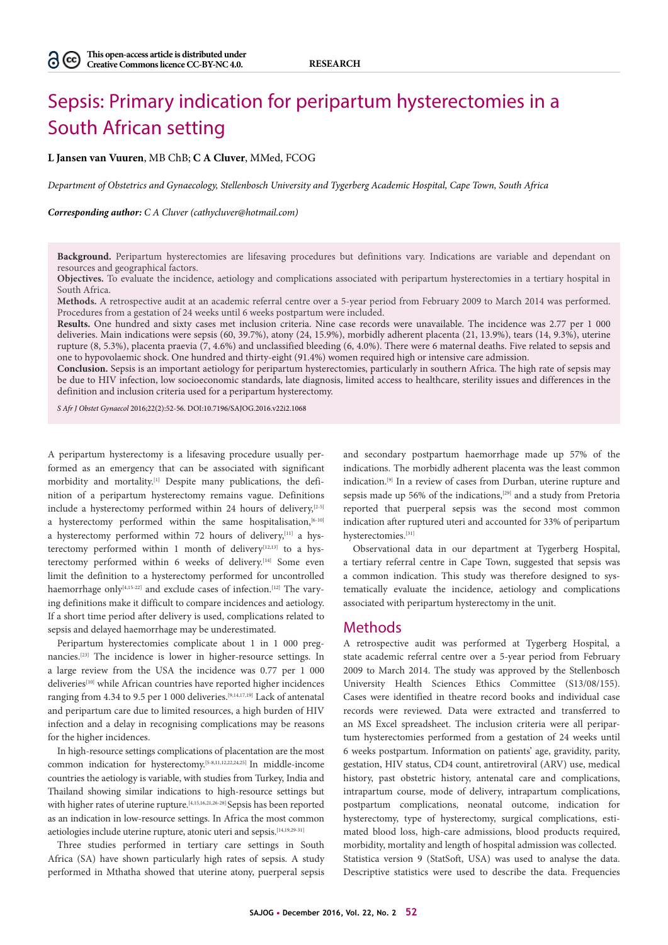# Sepsis: Primary indication for peripartum hysterectomies in a South African setting

**L Jansen van Vuuren**, MB ChB; **C A Cluver**, MMed, FCOG

*Department of Obstetrics and Gynaecology, Stellenbosch University and Tygerberg Academic Hospital, Cape Town, South Africa*

*Corresponding author: C A Cluver (cathycluver@hotmail.com)*

**Background.** Peripartum hysterectomies are lifesaving procedures but definitions vary. Indications are variable and dependant on resources and geographical factors.

**Objectives.** To evaluate the incidence, aetiology and complications associated with peripartum hysterectomies in a tertiary hospital in South Africa.

**Methods.** A retrospective audit at an academic referral centre over a 5-year period from February 2009 to March 2014 was performed. Procedures from a gestation of 24 weeks until 6 weeks postpartum were included.

**Results.** One hundred and sixty cases met inclusion criteria. Nine case records were unavailable. The incidence was 2.77 per 1 000 deliveries. Main indications were sepsis (60, 39.7%), atony (24, 15.9%), morbidly adherent placenta (21, 13.9%), tears (14, 9.3%), uterine rupture (8, 5.3%), placenta praevia (7, 4.6%) and unclassified bleeding (6, 4.0%). There were 6 maternal deaths. Five related to sepsis and one to hypovolaemic shock. One hundred and thirty-eight (91.4%) women required high or intensive care admission.

**Conclusion.** Sepsis is an important aetiology for peripartum hysterectomies, particularly in southern Africa. The high rate of sepsis may be due to HIV infection, low socioeconomic standards, late diagnosis, limited access to healthcare, sterility issues and differences in the definition and inclusion criteria used for a peripartum hysterectomy.

*S Afr J Obstet Gynaecol* 2016;22(2):52-56. DOI:10.7196/SAJOG.2016.v22i2.1068

A peripartum hysterectomy is a lifesaving procedure usually performed as an emergency that can be associated with significant morbidity and mortality.[1] Despite many publications, the definition of a peripartum hysterectomy remains vague. Definitions include a hysterectomy performed within 24 hours of delivery,<sup>[2-5]</sup> a hysterectomy performed within the same hospitalisation,  $[6-10]$ a hysterectomy performed within 72 hours of delivery,<sup>[11]</sup> a hysterectomy performed within 1 month of delivery $[12,13]$  to a hysterectomy performed within 6 weeks of delivery.<sup>[14]</sup> Some even limit the definition to a hysterectomy performed for uncontrolled haemorrhage only<sup>[4,15-22]</sup> and exclude cases of infection.<sup>[12]</sup> The varying definitions make it difficult to compare incidences and aetiology. If a short time period after delivery is used, complications related to sepsis and delayed haemorrhage may be underestimated.

Peripartum hysterectomies complicate about 1 in 1 000 pregnancies.[23] The incidence is lower in higher-resource settings. In a large review from the USA the incidence was 0.77 per 1 000 deliveries[10] while African countries have reported higher incidences ranging from 4.34 to 9.5 per 1 000 deliveries.<sup>[9,14,17,19]</sup> Lack of antenatal and peripartum care due to limited resources, a high burden of HIV infection and a delay in recognising complications may be reasons for the higher incidences.

In high-resource settings complications of placentation are the most common indication for hysterectomy.[5-8,11,12,22,24,25] In middle-income countries the aetiology is variable, with studies from Turkey, India and Thailand showing similar indications to high-resource settings but with higher rates of uterine rupture.<sup>[4,15,16,21,26-28]</sup> Sepsis has been reported as an indication in low-resource settings. In Africa the most common aetiologies include uterine rupture, atonic uteri and sepsis.[14,19,29-31]

Three studies performed in tertiary care settings in South Africa (SA) have shown particularly high rates of sepsis. A study performed in Mthatha showed that uterine atony, puerperal sepsis

and secondary postpartum haemorrhage made up 57% of the indications. The morbidly adherent placenta was the least common indication.[9] In a review of cases from Durban, uterine rupture and sepsis made up 56% of the indications,<sup>[29]</sup> and a study from Pretoria reported that puerperal sepsis was the second most common indication after ruptured uteri and accounted for 33% of peripartum hysterectomies.[31]

Observational data in our department at Tygerberg Hospital, a tertiary referral centre in Cape Town, suggested that sepsis was a common indication. This study was therefore designed to systematically evaluate the incidence, aetiology and complications associated with peripartum hysterectomy in the unit.

#### Methods

A retrospective audit was performed at Tygerberg Hospital, a state academic referral centre over a 5-year period from February 2009 to March 2014. The study was approved by the Stellenbosch University Health Sciences Ethics Committee (S13/08/155). Cases were identified in theatre record books and individual case records were reviewed. Data were extracted and transferred to an MS Excel spreadsheet. The inclusion criteria were all peripartum hysterectomies performed from a gestation of 24 weeks until 6 weeks postpartum. Information on patients' age, gravidity, parity, gestation, HIV status, CD4 count, antiretroviral (ARV) use, medical history, past obstetric history, antenatal care and complications, intrapartum course, mode of delivery, intrapartum complications, postpartum complications, neonatal outcome, indication for hysterectomy, type of hysterectomy, surgical complications, estimated blood loss, high-care admissions, blood products required, morbidity, mortality and length of hospital admission was collected. Statistica version 9 (StatSoft, USA) was used to analyse the data. Descriptive statistics were used to describe the data. Frequencies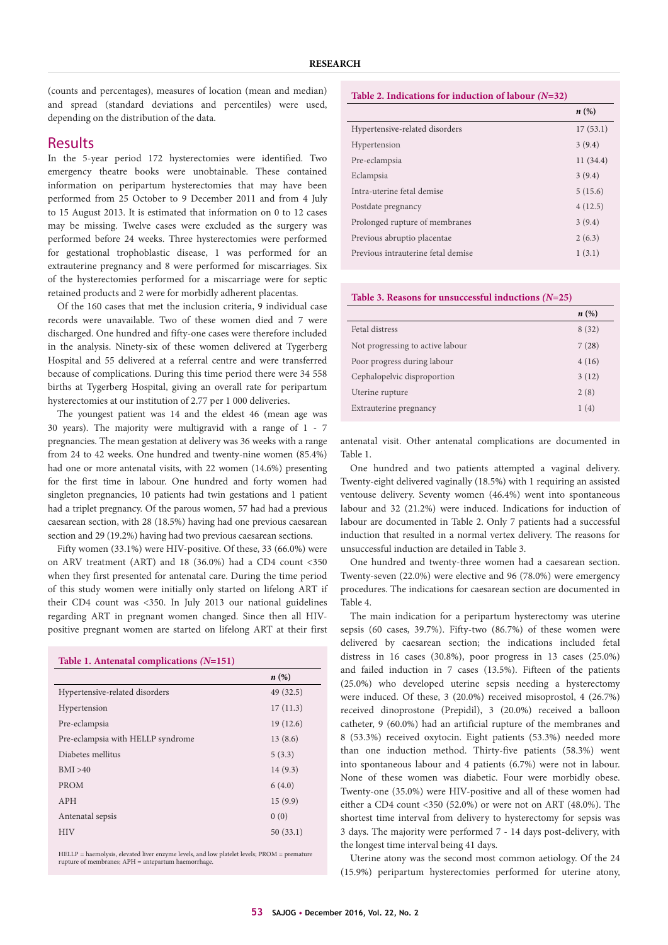(counts and percentages), measures of location (mean and median) and spread (standard deviations and percentiles) were used, depending on the distribution of the data.

## Results

In the 5-year period 172 hysterectomies were identified. Two emergency theatre books were unobtainable. These contained information on peripartum hysterectomies that may have been performed from 25 October to 9 December 2011 and from 4 July to 15 August 2013. It is estimated that information on 0 to 12 cases may be missing. Twelve cases were excluded as the surgery was performed before 24 weeks. Three hysterectomies were performed for gestational trophoblastic disease, 1 was performed for an extrauterine pregnancy and 8 were performed for miscarriages. Six of the hysterectomies performed for a miscarriage were for septic retained products and 2 were for morbidly adherent placentas.

Of the 160 cases that met the inclusion criteria, 9 individual case records were unavailable. Two of these women died and 7 were discharged. One hundred and fifty-one cases were therefore included in the analysis. Ninety-six of these women delivered at Tygerberg Hospital and 55 delivered at a referral centre and were transferred because of complications. During this time period there were 34 558 births at Tygerberg Hospital, giving an overall rate for peripartum hysterectomies at our institution of 2.77 per 1 000 deliveries.

The youngest patient was 14 and the eldest 46 (mean age was 30 years). The majority were multigravid with a range of 1 - 7 pregnancies. The mean gestation at delivery was 36 weeks with a range from 24 to 42 weeks. One hundred and twenty-nine women (85.4%) had one or more antenatal visits, with 22 women (14.6%) presenting for the first time in labour. One hundred and forty women had singleton pregnancies, 10 patients had twin gestations and 1 patient had a triplet pregnancy. Of the parous women, 57 had had a previous caesarean section, with 28 (18.5%) having had one previous caesarean section and 29 (19.2%) having had two previous caesarean sections.

Fifty women (33.1%) were HIV-positive. Of these, 33 (66.0%) were on ARV treatment (ART) and 18 (36.0%) had a CD4 count <350 when they first presented for antenatal care. During the time period of this study women were initially only started on lifelong ART if their CD4 count was <350. In July 2013 our national guidelines regarding ART in pregnant women changed. Since then all HIVpositive pregnant women are started on lifelong ART at their first

| Table 1. Antenatal complications $(N=151)$ |           |
|--------------------------------------------|-----------|
|                                            | n(%)      |
| Hypertensive-related disorders             | 49 (32.5) |
| Hypertension                               | 17(11.3)  |
| Pre-eclampsia                              | 19(12.6)  |
| Pre-eclampsia with HELLP syndrome          | 13(8.6)   |
| Diabetes mellitus                          | 5(3.3)    |
| BMI > 40                                   | 14(9.3)   |
| <b>PROM</b>                                | 6(4.0)    |
| APH                                        | 15(9.9)   |
| Antenatal sepsis                           | 0(0)      |
| <b>HIV</b>                                 | 50(33.1)  |

HELLP = haemolysis, elevated liver enzyme levels, and low platelet levels; PROM = premature rupture of membranes; APH = antepartum haemorrhage.

### **Table 2. Indications for induction of labour** *(N***=32)**

|                                    | $n\left(\%\right)$ |
|------------------------------------|--------------------|
| Hypertensive-related disorders     | 17(53.1)           |
| Hypertension                       | 3(9.4)             |
| Pre-eclampsia                      | 11(34.4)           |
| Eclampsia                          | 3(9.4)             |
| Intra-uterine fetal demise         | 5(15.6)            |
| Postdate pregnancy                 | 4(12.5)            |
| Prolonged rupture of membranes     | 3(9.4)             |
| Previous abruptio placentae        | 2(6.3)             |
| Previous intrauterine fetal demise | 1(3.1)             |

#### **Table 3. Reasons for unsuccessful inductions** *(N***=25)**

|                                  | n(%)  |
|----------------------------------|-------|
| Fetal distress                   | 8(32) |
| Not progressing to active labour | 7(28) |
| Poor progress during labour      | 4(16) |
| Cephalopelvic disproportion      | 3(12) |
| Uterine rupture                  | 2(8)  |
| Extrauterine pregnancy           | 1(4)  |

antenatal visit. Other antenatal complications are documented in Table 1.

One hundred and two patients attempted a vaginal delivery. Twenty-eight delivered vaginally (18.5%) with 1 requiring an assisted ventouse delivery. Seventy women (46.4%) went into spontaneous labour and 32 (21.2%) were induced. Indications for induction of labour are documented in Table 2. Only 7 patients had a successful induction that resulted in a normal vertex delivery. The reasons for unsuccessful induction are detailed in Table 3.

One hundred and twenty-three women had a caesarean section. Twenty-seven (22.0%) were elective and 96 (78.0%) were emergency procedures. The indications for caesarean section are documented in Table 4.

The main indication for a peripartum hysterectomy was uterine sepsis (60 cases, 39.7%). Fifty-two (86.7%) of these women were delivered by caesarean section; the indications included fetal distress in 16 cases (30.8%), poor progress in 13 cases (25.0%) and failed induction in 7 cases (13.5%). Fifteen of the patients (25.0%) who developed uterine sepsis needing a hysterectomy were induced. Of these, 3 (20.0%) received misoprostol, 4 (26.7%) received dinoprostone (Prepidil), 3 (20.0%) received a balloon catheter, 9 (60.0%) had an artificial rupture of the membranes and 8 (53.3%) received oxytocin. Eight patients (53.3%) needed more than one induction method. Thirty-five patients (58.3%) went into spontaneous labour and 4 patients (6.7%) were not in labour. None of these women was diabetic. Four were morbidly obese. Twenty-one (35.0%) were HIV-positive and all of these women had either a CD4 count <350 (52.0%) or were not on ART (48.0%). The shortest time interval from delivery to hysterectomy for sepsis was 3 days. The majority were performed 7 - 14 days post-delivery, with the longest time interval being 41 days.

Uterine atony was the second most common aetiology. Of the 24 (15.9%) peripartum hysterectomies performed for uterine atony,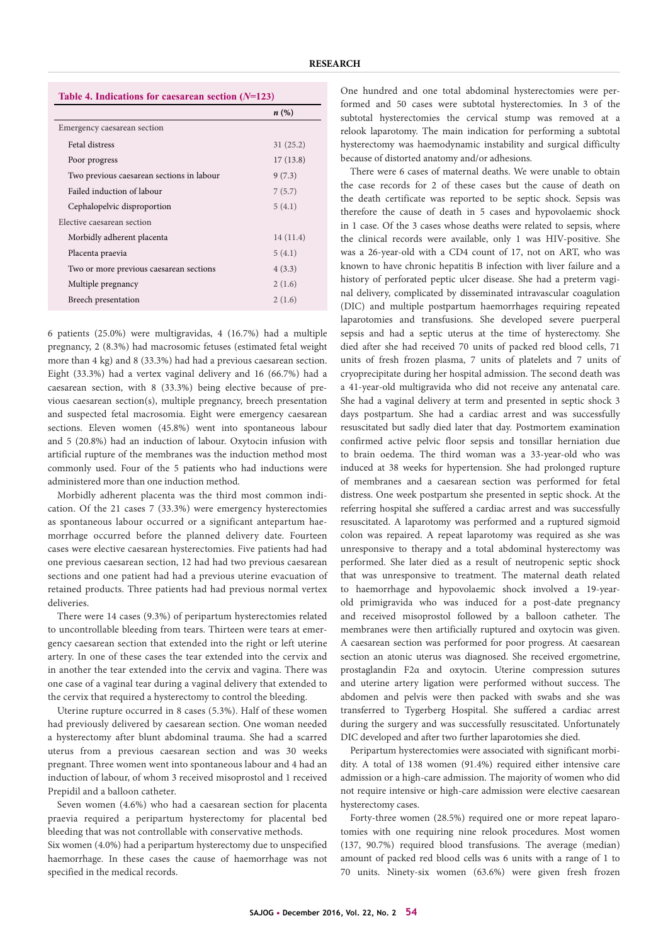| Table 4. Indications for caesarean section $(N=123)$ |                    |
|------------------------------------------------------|--------------------|
|                                                      | $n\left(\%\right)$ |
| Emergency caesarean section                          |                    |
| Fetal distress                                       | 31(25.2)           |
| Poor progress                                        | 17(13.8)           |
| Two previous caesarean sections in labour            | 9(7.3)             |
| Failed induction of labour                           | 7(5.7)             |
| Cephalopelvic disproportion                          | 5(4.1)             |
| Elective caesarean section                           |                    |
| Morbidly adherent placenta                           | 14(11.4)           |
| Placenta praevia                                     | 5(4.1)             |
| Two or more previous caesarean sections              | 4(3.3)             |
| Multiple pregnancy                                   | 2(1.6)             |
| Breech presentation                                  | 2(1.6)             |
|                                                      |                    |

6 patients (25.0%) were multigravidas, 4 (16.7%) had a multiple pregnancy, 2 (8.3%) had macrosomic fetuses (estimated fetal weight more than 4 kg) and 8 (33.3%) had had a previous caesarean section. Eight (33.3%) had a vertex vaginal delivery and 16 (66.7%) had a caesarean section, with 8 (33.3%) being elective because of previous caesarean section(s), multiple pregnancy, breech presentation and suspected fetal macrosomia. Eight were emergency caesarean sections. Eleven women (45.8%) went into spontaneous labour and 5 (20.8%) had an induction of labour. Oxytocin infusion with artificial rupture of the membranes was the induction method most commonly used. Four of the 5 patients who had inductions were administered more than one induction method.

Morbidly adherent placenta was the third most common indication. Of the 21 cases 7 (33.3%) were emergency hysterectomies as spontaneous labour occurred or a significant antepartum haemorrhage occurred before the planned delivery date. Fourteen cases were elective caesarean hysterectomies. Five patients had had one previous caesarean section, 12 had had two previous caesarean sections and one patient had had a previous uterine evacuation of retained products. Three patients had had previous normal vertex deliveries.

There were 14 cases (9.3%) of peripartum hysterectomies related to uncontrollable bleeding from tears. Thirteen were tears at emergency caesarean section that extended into the right or left uterine artery. In one of these cases the tear extended into the cervix and in another the tear extended into the cervix and vagina. There was one case of a vaginal tear during a vaginal delivery that extended to the cervix that required a hysterectomy to control the bleeding.

Uterine rupture occurred in 8 cases (5.3%). Half of these women had previously delivered by caesarean section. One woman needed a hysterectomy after blunt abdominal trauma. She had a scarred uterus from a previous caesarean section and was 30 weeks pregnant. Three women went into spontaneous labour and 4 had an induction of labour, of whom 3 received misoprostol and 1 received Prepidil and a balloon catheter.

Seven women (4.6%) who had a caesarean section for placenta praevia required a peripartum hysterectomy for placental bed bleeding that was not controllable with conservative methods.

Six women (4.0%) had a peripartum hysterectomy due to unspecified haemorrhage. In these cases the cause of haemorrhage was not specified in the medical records.

One hundred and one total abdominal hysterectomies were performed and 50 cases were subtotal hysterectomies. In 3 of the subtotal hysterectomies the cervical stump was removed at a relook laparotomy. The main indication for performing a subtotal hysterectomy was haemodynamic instability and surgical difficulty because of distorted anatomy and/or adhesions.

There were 6 cases of maternal deaths. We were unable to obtain the case records for 2 of these cases but the cause of death on the death certificate was reported to be septic shock. Sepsis was therefore the cause of death in 5 cases and hypovolaemic shock in 1 case. Of the 3 cases whose deaths were related to sepsis, where the clinical records were available, only 1 was HIV-positive. She was a 26-year-old with a CD4 count of 17, not on ART, who was known to have chronic hepatitis B infection with liver failure and a history of perforated peptic ulcer disease. She had a preterm vaginal delivery, complicated by disseminated intravascular coagulation (DIC) and multiple postpartum haemorrhages requiring repeated laparotomies and transfusions. She developed severe puerperal sepsis and had a septic uterus at the time of hysterectomy. She died after she had received 70 units of packed red blood cells, 71 units of fresh frozen plasma, 7 units of platelets and 7 units of cryoprecipitate during her hospital admission. The second death was a 41-year-old multigravida who did not receive any antenatal care. She had a vaginal delivery at term and presented in septic shock 3 days postpartum. She had a cardiac arrest and was successfully resuscitated but sadly died later that day. Postmortem examination confirmed active pelvic floor sepsis and tonsillar herniation due to brain oedema. The third woman was a 33-year-old who was induced at 38 weeks for hypertension. She had prolonged rupture of membranes and a caesarean section was performed for fetal distress. One week postpartum she presented in septic shock. At the referring hospital she suffered a cardiac arrest and was successfully resuscitated. A laparotomy was performed and a ruptured sigmoid colon was repaired. A repeat laparotomy was required as she was unresponsive to therapy and a total abdominal hysterectomy was performed. She later died as a result of neutropenic septic shock that was unresponsive to treatment. The maternal death related to haemorrhage and hypovolaemic shock involved a 19-yearold primigravida who was induced for a post-date pregnancy and received misoprostol followed by a balloon catheter. The membranes were then artificially ruptured and oxytocin was given. A caesarean section was performed for poor progress. At caesarean section an atonic uterus was diagnosed. She received ergometrine, prostaglandin F2α and oxytocin. Uterine compression sutures and uterine artery ligation were performed without success. The abdomen and pelvis were then packed with swabs and she was transferred to Tygerberg Hospital. She suffered a cardiac arrest during the surgery and was successfully resuscitated. Unfortunately DIC developed and after two further laparotomies she died.

Peripartum hysterectomies were associated with significant morbidity. A total of 138 women (91.4%) required either intensive care admission or a high-care admission. The majority of women who did not require intensive or high-care admission were elective caesarean hysterectomy cases.

Forty-three women (28.5%) required one or more repeat laparotomies with one requiring nine relook procedures. Most women (137, 90.7%) required blood transfusions. The average (median) amount of packed red blood cells was 6 units with a range of 1 to 70 units. Ninety-six women (63.6%) were given fresh frozen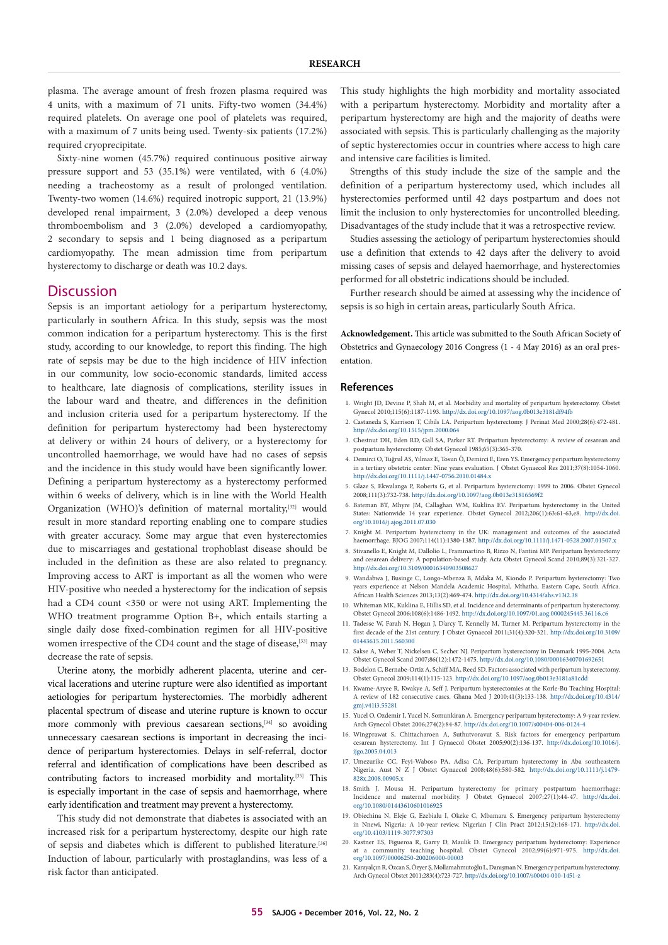plasma. The average amount of fresh frozen plasma required was 4 units, with a maximum of 71 units. Fifty-two women (34.4%) required platelets. On average one pool of platelets was required, with a maximum of 7 units being used. Twenty-six patients (17.2%) required cryoprecipitate.

Sixty-nine women (45.7%) required continuous positive airway pressure support and 53 (35.1%) were ventilated, with 6 (4.0%) needing a tracheostomy as a result of prolonged ventilation. Twenty-two women (14.6%) required inotropic support, 21 (13.9%) developed renal impairment, 3 (2.0%) developed a deep venous thromboembolism and 3 (2.0%) developed a cardiomyopathy, 2 secondary to sepsis and 1 being diagnosed as a peripartum cardiomyopathy. The mean admission time from peripartum hysterectomy to discharge or death was 10.2 days.

## **Discussion**

Sepsis is an important aetiology for a peripartum hysterectomy, particularly in southern Africa. In this study, sepsis was the most common indication for a peripartum hysterectomy. This is the first study, according to our knowledge, to report this finding. The high rate of sepsis may be due to the high incidence of HIV infection in our community, low socio-economic standards, limited access to healthcare, late diagnosis of complications, sterility issues in the labour ward and theatre, and differences in the definition and inclusion criteria used for a peripartum hysterectomy. If the definition for peripartum hysterectomy had been hysterectomy at delivery or within 24 hours of delivery, or a hysterectomy for uncontrolled haemorrhage, we would have had no cases of sepsis and the incidence in this study would have been significantly lower. Defining a peripartum hysterectomy as a hysterectomy performed within 6 weeks of delivery, which is in line with the World Health Organization (WHO)'s definition of maternal mortality,<sup>[32]</sup> would result in more standard reporting enabling one to compare studies with greater accuracy. Some may argue that even hysterectomies due to miscarriages and gestational trophoblast disease should be included in the definition as these are also related to pregnancy. Improving access to ART is important as all the women who were HIV-positive who needed a hysterectomy for the indication of sepsis had a CD4 count <350 or were not using ART. Implementing the WHO treatment programme Option B+, which entails starting a single daily dose fixed-combination regimen for all HIV-positive women irrespective of the CD4 count and the stage of disease,<sup>[33]</sup> may decrease the rate of sepsis.

Uterine atony, the morbidly adherent placenta, uterine and cervical lacerations and uterine rupture were also identified as important aetiologies for peripartum hysterectomies. The morbidly adherent placental spectrum of disease and uterine rupture is known to occur more commonly with previous caesarean sections,<sup>[34]</sup> so avoiding unnecessary caesarean sections is important in decreasing the incidence of peripartum hysterectomies. Delays in self-referral, doctor referral and identification of complications have been described as contributing factors to increased morbidity and mortality.[35] This is especially important in the case of sepsis and haemorrhage, where early identification and treatment may prevent a hysterectomy.

This study did not demonstrate that diabetes is associated with an increased risk for a peripartum hysterectomy, despite our high rate of sepsis and diabetes which is different to published literature.<sup>[36]</sup> Induction of labour, particularly with prostaglandins, was less of a risk factor than anticipated.

This study highlights the high morbidity and mortality associated with a peripartum hysterectomy. Morbidity and mortality after a peripartum hysterectomy are high and the majority of deaths were associated with sepsis. This is particularly challenging as the majority of septic hysterectomies occur in countries where access to high care and intensive care facilities is limited.

Strengths of this study include the size of the sample and the definition of a peripartum hysterectomy used, which includes all hysterectomies performed until 42 days postpartum and does not limit the inclusion to only hysterectomies for uncontrolled bleeding. Disadvantages of the study include that it was a retrospective review.

Studies assessing the aetiology of peripartum hysterectomies should use a definition that extends to 42 days after the delivery to avoid missing cases of sepsis and delayed haemorrhage, and hysterectomies performed for all obstetric indications should be included.

Further research should be aimed at assessing why the incidence of sepsis is so high in certain areas, particularly South Africa.

**Acknowledgement.** This article was submitted to the South African Society of Obstetrics and Gynaecology 2016 Congress (1 - 4 May 2016) as an oral presentation.

#### **References**

- 1. Wright JD, Devine P, Shah M, et al. Morbidity and mortality of peripartum hysterectomy. Obstet Gynecol 2010;115(6):1187-1193. http://dx.doi.org/10.1097/aog.0b013e3181df94fb
- 2. Castaneda S, Karrison T, Cibils LA. Peripartum hysterectomy. J Perinat Med 2000;28(6):472-481. http://dx.doi.org/10.1515/jpm.2000.064
- 3. Chestnut DH, Eden RD, Gall SA, Parker RT. Peripartum hysterectomy: A review of cesarean and postpartum hysterectomy. Obstet Gynecol 1985;65(3):365-370.
- 4. Demirci O, Tuğrul AS, Yılmaz E, Tosun Ö, Demirci E, Eren YS. Emergency peripartum hysterectomy in a tertiary obstetric center: Nine years evaluation. J Obstet Gynaecol Res 2011;37(8):1054-1060. http://dx.doi.org/10.1111/j.1447-0756.2010.01484.x
- 5. Glaze S, Ekwalanga P, Roberts G, et al. Peripartum hysterectomy: 1999 to 2006. Obstet Gynecol 2008;111(3):732-738. http://dx.doi.org/10.1097/aog.0b013e31816569f2
- 6. Bateman BT, Mhyre JM, Callaghan WM, Kuklina EV. Peripartum hysterectomy in the United States: Nationwide 14 year experience. Obstet Gynecol 2012;206(1):63:61-63,e8. http://dx.doi. org/10.1016/j.ajog.2011.07.030
- 7. Knight M. Peripartum hysterectomy in the UK: management and outcomes of the associated haemorrhage. BJOG 2007;114(11):1380-1387. http://dx.doi.org/10.1111/j.1471-0528.2007.01507.x
- 8. Stivanello E, Knight M, Dallolio L, Frammartino B, Rizzo N, Fantini MP. Peripartum hysterectomy and cesarean delivery: A population-based study. Acta Obstet Gynecol Scand 2010;89(3):321-327. http://dx.doi.org/10.3109/00016340903508627
- 9. Wandabwa J, Businge C, Longo-Mbenza B, Mdaka M, Kiondo P. Peripartum hysterectomy: Two years experience at Nelson Mandela Academic Hospital, Mthatha, Eastern Cape, South Africa. African Health Sciences 2013;13(2):469-474. http://dx.doi.org/10.4314/ahs.v13i2.38
- 10. Whiteman MK, Kuklina E, Hillis SD, et al. Incidence and determinants of peripartum hysterectomy. Obstet Gynecol 2006;108(6):1486-1492. http://dx.doi.org/10.1097/01.aog.0000245445.36116.c6
- 11. Tadesse W, Farah N, Hogan J, D'arcy T, Kennelly M, Turner M. Peripartum hysterectomy in the first decade of the 21st century. J Obstet Gynaecol 2011;31(4):320-321. http://dx.doi.org/10.3109/ 01443615.2011.560300
- 12. Sakse A, Weber T, Nickelsen C, Secher NJ. Peripartum hysterectomy in Denmark 1995-2004. Acta Obstet Gynecol Scand 2007;86(12):1472-1475. http://dx.doi.org/10.1080/00016340701692651
- 13. Bodelon C, Bernabe-Ortiz A, Schiff MA, Reed SD. Factors associated with peripartum hysterectomy. Obstet Gynecol 2009;114(1):115-123. http://dx.doi.org/10.1097/aog.0b013e3181a81cdd
- 14. Kwame-Aryee R, Kwakye A, Seff J. Peripartum hysterectomies at the Korle-Bu Teaching Hospital: A review of 182 consecutive cases. Ghana Med J 2010;41(3):133-138. http://dx.doi.org/10.4314/ gmj.v41i3.55281
- 15. Yucel O, Ozdemir I, Yucel N, Somunkiran A. Emergency peripartum hysterectomy: A 9-year review. Arch Gynecol Obstet 2006;274(2):84-87. http://dx.doi.org/10.1007/s00404-006-0124-4
- 16. Wingprawat S, Chittacharoen A, Suthutvoravut S. Risk factors for emergency peripartum cesarean hysterectomy. Int J Gynaecol Obstet 2005;90(2):136-137. http://dx.doi.org/10.1016/j. ijgo.2005.04.013
- 17. Umezurike CC, Feyi‐Waboso PA, Adisa CA. Peripartum hysterectomy in Aba southeastern Nigeria. Aust N Z J Obstet Gynaecol 2008;48(6):580-582. http://dx.doi.org/10.1111/j.1479- 828x.2008.00905.x
- 18. Smith J, Mousa H. Peripartum hysterectomy for primary postpartum haemorrhage: Incidence and maternal morbidity. J Obstet Gynaecol 2007;27(1):44-47. http://dx.doi. org/10.1080/01443610601016925
- 19. Obiechina N, Eleje G, Ezebialu I, Okeke C, Mbamara S. Emergency peripartum hysterectomy in Nnewi, Nigeria: A 10-year review. Nigerian J Clin Pract 2012;15(2):168-171. http://dx.doi. org/10.4103/1119-3077.97303
- 20. Kastner ES, Figueroa R, Garry D, Maulik D. Emergency peripartum hysterectomy: Experience at a community teaching hospital. Obstet Gynecol 2002;99(6):971-975. http://dx.doi. org/10.1097/00006250-200206000-00003
- 21. Karayalçın R, Özcan S, Özyer Ş, Mollamahmutoğlu L, Danışman N. Emergency peripartum hysterectomy. Arch Gynecol Obstet 2011;283(4):723-727. http://dx.doi.org/10.1007/s00404-010-1451-z